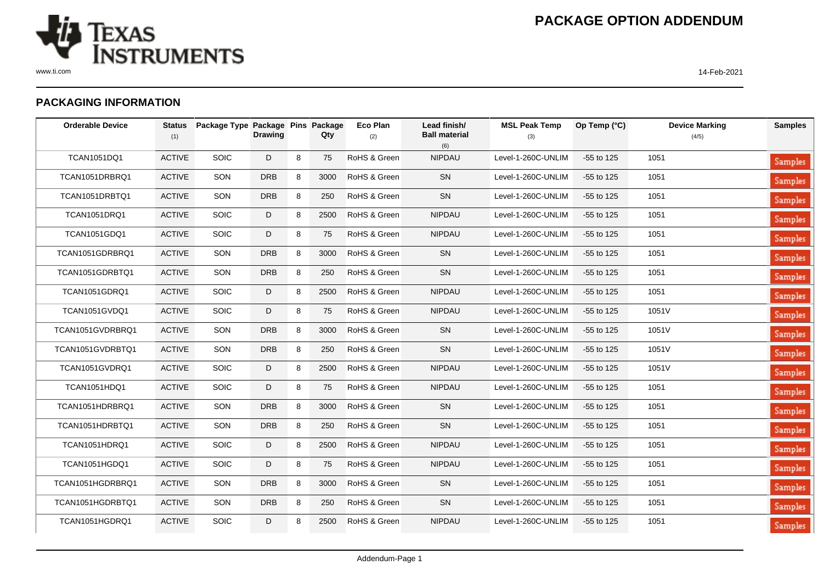

## **PACKAGING INFORMATION**

| <b>Orderable Device</b> | <b>Status</b><br>(1) | Package Type Package Pins Package | <b>Drawing</b> |   | Qty  | <b>Eco Plan</b><br>(2) | Lead finish/<br><b>Ball material</b><br>(6) | <b>MSL Peak Temp</b><br>(3) | Op Temp (°C) | <b>Device Marking</b><br>(4/5) | <b>Samples</b> |
|-------------------------|----------------------|-----------------------------------|----------------|---|------|------------------------|---------------------------------------------|-----------------------------|--------------|--------------------------------|----------------|
| TCAN1051DQ1             | <b>ACTIVE</b>        | SOIC                              | D              | 8 | 75   | RoHS & Green           | NIPDAU                                      | Level-1-260C-UNLIM          | -55 to 125   | 1051                           | Samples        |
| TCAN1051DRBRQ1          | <b>ACTIVE</b>        | SON                               | <b>DRB</b>     | 8 | 3000 | RoHS & Green           | SN                                          | Level-1-260C-UNLIM          | -55 to 125   | 1051                           | Samples        |
| TCAN1051DRBTQ1          | <b>ACTIVE</b>        | SON                               | <b>DRB</b>     | 8 | 250  | RoHS & Green           | SN                                          | Level-1-260C-UNLIM          | $-55$ to 125 | 1051                           | <b>Samples</b> |
| <b>TCAN1051DRQ1</b>     | <b>ACTIVE</b>        | SOIC                              | D              | 8 | 2500 | RoHS & Green           | NIPDAU                                      | Level-1-260C-UNLIM          | -55 to 125   | 1051                           | <b>Samples</b> |
| <b>TCAN1051GDQ1</b>     | <b>ACTIVE</b>        | SOIC                              | D              | 8 | 75   | RoHS & Green           | <b>NIPDAU</b>                               | Level-1-260C-UNLIM          | -55 to 125   | 1051                           | <b>Samples</b> |
| TCAN1051GDRBRQ1         | <b>ACTIVE</b>        | SON                               | <b>DRB</b>     | 8 | 3000 | RoHS & Green           | <b>SN</b>                                   | Level-1-260C-UNLIM          | -55 to 125   | 1051                           | Samples        |
| TCAN1051GDRBTQ1         | <b>ACTIVE</b>        | SON                               | <b>DRB</b>     | 8 | 250  | RoHS & Green           | ${\sf SN}$                                  | Level-1-260C-UNLIM          | -55 to 125   | 1051                           | Samples        |
| TCAN1051GDRQ1           | <b>ACTIVE</b>        | <b>SOIC</b>                       | D              | 8 | 2500 | RoHS & Green           | <b>NIPDAU</b>                               | Level-1-260C-UNLIM          | $-55$ to 125 | 1051                           | Samples        |
| TCAN1051GVDQ1           | <b>ACTIVE</b>        | <b>SOIC</b>                       | D              | 8 | 75   | RoHS & Green           | NIPDAU                                      | Level-1-260C-UNLIM          | -55 to 125   | 1051V                          | Samples        |
| TCAN1051GVDRBRQ1        | <b>ACTIVE</b>        | SON                               | <b>DRB</b>     | 8 | 3000 | RoHS & Green           | SN                                          | Level-1-260C-UNLIM          | $-55$ to 125 | 1051V                          | <b>Samples</b> |
| TCAN1051GVDRBTQ1        | <b>ACTIVE</b>        | SON                               | <b>DRB</b>     | 8 | 250  | RoHS & Green           | ${\sf SN}$                                  | Level-1-260C-UNLIM          | -55 to 125   | 1051V                          | <b>Samples</b> |
| TCAN1051GVDRQ1          | <b>ACTIVE</b>        | SOIC                              | D              | 8 | 2500 | RoHS & Green           | <b>NIPDAU</b>                               | Level-1-260C-UNLIM          | -55 to 125   | 1051V                          | <b>Samples</b> |
| <b>TCAN1051HDQ1</b>     | <b>ACTIVE</b>        | <b>SOIC</b>                       | D              | 8 | 75   | RoHS & Green           | <b>NIPDAU</b>                               | Level-1-260C-UNLIM          | -55 to 125   | 1051                           | Samples        |
| TCAN1051HDRBRQ1         | <b>ACTIVE</b>        | SON                               | <b>DRB</b>     | 8 | 3000 | RoHS & Green           | SN                                          | Level-1-260C-UNLIM          | -55 to 125   | 1051                           | <b>Samples</b> |
| TCAN1051HDRBTQ1         | <b>ACTIVE</b>        | SON                               | <b>DRB</b>     | 8 | 250  | RoHS & Green           | SN                                          | Level-1-260C-UNLIM          | -55 to 125   | 1051                           | Samples        |
| TCAN1051HDRQ1           | <b>ACTIVE</b>        | SOIC                              | D              | 8 | 2500 | RoHS & Green           | <b>NIPDAU</b>                               | Level-1-260C-UNLIM          | $-55$ to 125 | 1051                           | Samples        |
| TCAN1051HGDQ1           | <b>ACTIVE</b>        | <b>SOIC</b>                       | D              | 8 | 75   | RoHS & Green           | <b>NIPDAU</b>                               | Level-1-260C-UNLIM          | $-55$ to 125 | 1051                           | Samples        |
| TCAN1051HGDRBRQ1        | <b>ACTIVE</b>        | SON                               | <b>DRB</b>     | 8 | 3000 | RoHS & Green           | SN                                          | Level-1-260C-UNLIM          | $-55$ to 125 | 1051                           | <b>Samples</b> |
| TCAN1051HGDRBTQ1        | <b>ACTIVE</b>        | SON                               | <b>DRB</b>     | 8 | 250  | RoHS & Green           | ${\sf SN}$                                  | Level-1-260C-UNLIM          | -55 to 125   | 1051                           | <b>Samples</b> |
| TCAN1051HGDRQ1          | <b>ACTIVE</b>        | SOIC                              | D              | 8 | 2500 | RoHS & Green           | <b>NIPDAU</b>                               | Level-1-260C-UNLIM          | $-55$ to 125 | 1051                           | Samples        |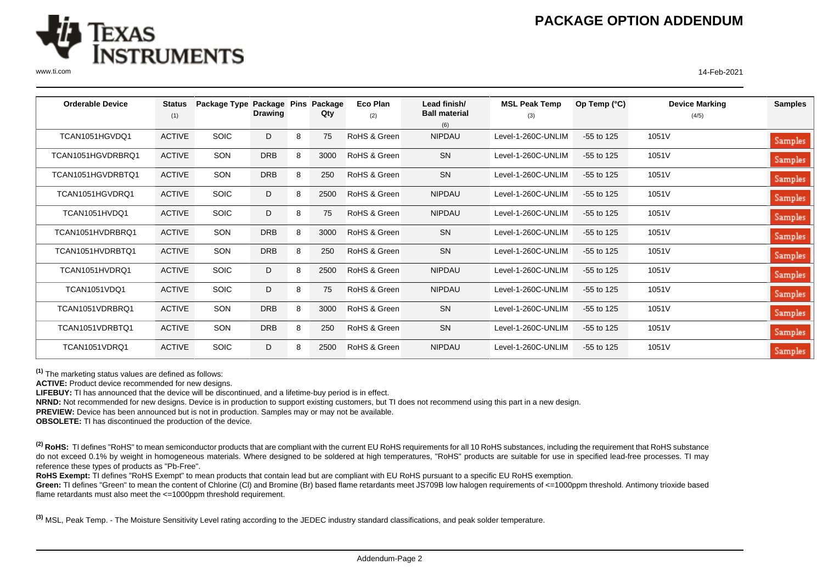

www.ti.com 14-Feb-2021

| <b>Orderable Device</b> | <b>Status</b><br>(1) | Package Type Package Pins | <b>Drawing</b> |   | Package<br>Qty | Eco Plan<br>(2) | Lead finish/<br><b>Ball material</b><br>(6) | <b>MSL Peak Temp</b><br>(3) | Op Temp $(^{\circ}C)$ | <b>Device Marking</b><br>(4/5) | <b>Samples</b> |
|-------------------------|----------------------|---------------------------|----------------|---|----------------|-----------------|---------------------------------------------|-----------------------------|-----------------------|--------------------------------|----------------|
| TCAN1051HGVDQ1          | <b>ACTIVE</b>        | <b>SOIC</b>               | D              | 8 | 75             | RoHS & Green    | <b>NIPDAU</b>                               | Level-1-260C-UNLIM          | $-55$ to 125          | 1051V                          | Samples        |
| TCAN1051HGVDRBRQ1       | <b>ACTIVE</b>        | SON                       | <b>DRB</b>     | 8 | 3000           | RoHS & Green    | SN                                          | Level-1-260C-UNLIM          | $-55$ to 125          | 1051V                          | Samples        |
| TCAN1051HGVDRBTQ1       | <b>ACTIVE</b>        | SON                       | <b>DRB</b>     | 8 | 250            | RoHS & Green    | SN                                          | Level-1-260C-UNLIM          | $-55$ to 125          | 1051V                          | Samples        |
| TCAN1051HGVDRQ1         | <b>ACTIVE</b>        | <b>SOIC</b>               | D              | 8 | 2500           | RoHS & Green    | <b>NIPDAU</b>                               | Level-1-260C-UNLIM          | $-55$ to 125          | 1051V                          | Samples        |
| TCAN1051HVDQ1           | <b>ACTIVE</b>        | <b>SOIC</b>               | D              | 8 | 75             | RoHS & Green    | <b>NIPDAU</b>                               | Level-1-260C-UNLIM          | $-55$ to 125          | 1051V                          | Samples        |
| TCAN1051HVDRBRQ1        | <b>ACTIVE</b>        | SON                       | <b>DRB</b>     | 8 | 3000           | RoHS & Green    | <b>SN</b>                                   | Level-1-260C-UNLIM          | $-55$ to 125          | 1051V                          | Samples        |
| TCAN1051HVDRBTQ1        | <b>ACTIVE</b>        | SON                       | <b>DRB</b>     | 8 | 250            | RoHS & Green    | SN                                          | Level-1-260C-UNLIM          | $-55$ to 125          | 1051V                          | Samples        |
| TCAN1051HVDRQ1          | <b>ACTIVE</b>        | <b>SOIC</b>               | D              | 8 | 2500           | RoHS & Green    | <b>NIPDAU</b>                               | Level-1-260C-UNLIM          | $-55$ to 125          | 1051V                          | Samples        |
| TCAN1051VDQ1            | <b>ACTIVE</b>        | <b>SOIC</b>               | D              | 8 | 75             | RoHS & Green    | <b>NIPDAU</b>                               | Level-1-260C-UNLIM          | $-55$ to 125          | 1051V                          | Samples        |
| TCAN1051VDRBRQ1         | <b>ACTIVE</b>        | SON                       | <b>DRB</b>     | 8 | 3000           | RoHS & Green    | SN                                          | Level-1-260C-UNLIM          | $-55$ to 125          | 1051V                          | Samples        |
| TCAN1051VDRBTQ1         | <b>ACTIVE</b>        | SON                       | <b>DRB</b>     | 8 | 250            | RoHS & Green    | SN                                          | Level-1-260C-UNLIM          | $-55$ to 125          | 1051V                          | Samples        |
| TCAN1051VDRQ1           | <b>ACTIVE</b>        | <b>SOIC</b>               | D              | 8 | 2500           | RoHS & Green    | <b>NIPDAU</b>                               | Level-1-260C-UNLIM          | $-55$ to 125          | 1051V                          | Samples        |

**(1)** The marketing status values are defined as follows:

**ACTIVE:** Product device recommended for new designs.

**LIFEBUY:** TI has announced that the device will be discontinued, and a lifetime-buy period is in effect.

**NRND:** Not recommended for new designs. Device is in production to support existing customers, but TI does not recommend using this part in a new design.

**PREVIEW:** Device has been announced but is not in production. Samples may or may not be available.

**OBSOLETE:** TI has discontinued the production of the device.

<sup>(2)</sup> RoHS: TI defines "RoHS" to mean semiconductor products that are compliant with the current EU RoHS requirements for all 10 RoHS substances, including the requirement that RoHS substance do not exceed 0.1% by weight in homogeneous materials. Where designed to be soldered at high temperatures, "RoHS" products are suitable for use in specified lead-free processes. TI may reference these types of products as "Pb-Free".

RoHS Exempt: TI defines "RoHS Exempt" to mean products that contain lead but are compliant with EU RoHS pursuant to a specific EU RoHS exemption.

Green: TI defines "Green" to mean the content of Chlorine (CI) and Bromine (Br) based flame retardants meet JS709B low halogen requirements of <=1000ppm threshold. Antimony trioxide based flame retardants must also meet the <=1000ppm threshold requirement.

**(3)** MSL, Peak Temp. - The Moisture Sensitivity Level rating according to the JEDEC industry standard classifications, and peak solder temperature.